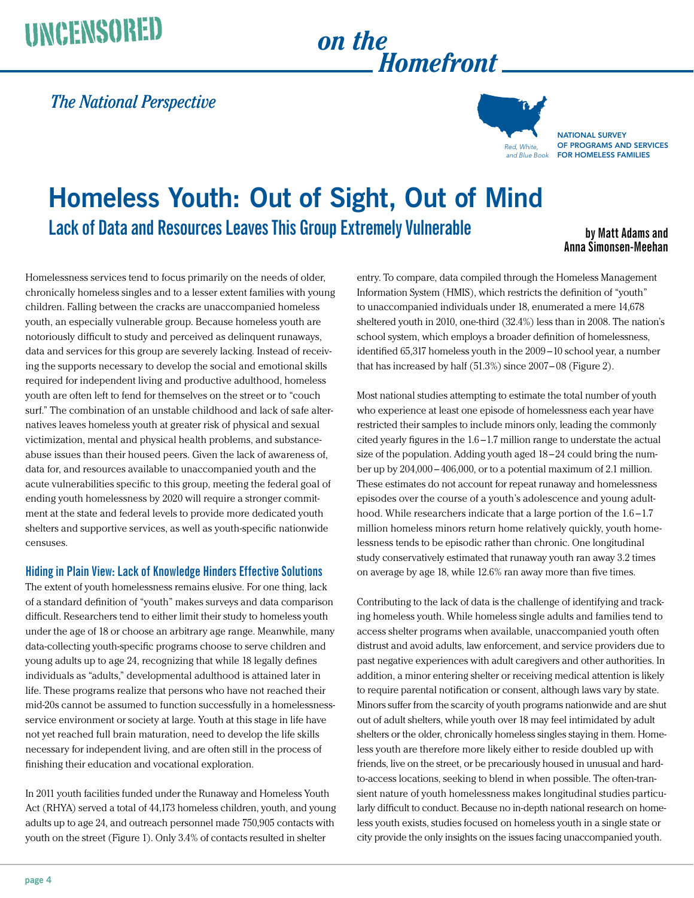# UNCENSORED on the

# *Homefront*

### *The National Perspective*



**NATIONAL SURVEY** of Programs and Services for Homeless Families

## **Homeless Youth: Out of Sight, Out of Mind Lack of Data and Resources Leaves This Group Extremely Vulnerable**

**by Matt Adams and Anna Simonsen-Meehan**

Homelessness services tend to focus primarily on the needs of older, chronically homeless singles and to a lesser extent families with young children. Falling between the cracks are unaccompanied homeless youth, an especially vulnerable group. Because homeless youth are notoriously difficult to study and perceived as delinquent runaways, data and services for this group are severely lacking. Instead of receiving the supports necessary to develop the social and emotional skills required for independent living and productive adulthood, homeless youth are often left to fend for themselves on the street or to "couch surf." The combination of an unstable childhood and lack of safe alternatives leaves homeless youth at greater risk of physical and sexual victimization, mental and physical health problems, and substanceabuse issues than their housed peers. Given the lack of awareness of, data for, and resources available to unaccompanied youth and the acute vulnerabilities specific to this group, meeting the federal goal of ending youth homelessness by 2020 will require a stronger commitment at the state and federal levels to provide more dedicated youth shelters and supportive services, as well as youth-specific nationwide censuses.

#### **Hiding in Plain View: Lack of Knowledge Hinders Effective Solutions**

The extent of youth homelessness remains elusive. For one thing, lack of a standard definition of "youth" makes surveys and data comparison difficult. Researchers tend to either limit their study to homeless youth under the age of 18 or choose an arbitrary age range. Meanwhile, many data-collecting youth-specific programs choose to serve children and young adults up to age 24, recognizing that while 18 legally defines individuals as "adults," developmental adulthood is attained later in life. These programs realize that persons who have not reached their mid-20s cannot be assumed to function successfully in a homelessnessservice environment or society at large. Youth at this stage in life have not yet reached full brain maturation, need to develop the life skills necessary for independent living, and are often still in the process of finishing their education and vocational exploration.

In 2011 youth facilities funded under the Runaway and Homeless Youth Act (RHYA) served a total of 44,173 homeless children, youth, and young adults up to age 24, and outreach personnel made 750,905 contacts with youth on the street (Figure 1). Only 3.4% of contacts resulted in shelter

entry. To compare, data compiled through the Homeless Management Information System (HMIS), which restricts the definition of "youth" to unaccompanied individuals under 18, enumerated a mere 14,678 sheltered youth in 2010, one-third (32.4%) less than in 2008. The nation's school system, which employs a broader definition of homelessness, identified 65,317 homeless youth in the 2009 –10 school year, a number that has increased by half (51.3%) since 2007– 08 (Figure 2).

Most national studies attempting to estimate the total number of youth who experience at least one episode of homelessness each year have restricted their samples to include minors only, leading the commonly cited yearly figures in the 1.6 –1.7 million range to understate the actual size of the population. Adding youth aged 18 –24 could bring the number up by 204,000 – 406,000, or to a potential maximum of 2.1 [million.](million.These)  [These](million.These) estimates do not account for repeat runaway and homelessness episodes over the course of a youth's adolescence and young adulthood. While researchers indicate that a large portion of the 1.6–1.7 million homeless minors return home relatively quickly, youth homelessness tends to be episodic rather than chronic. One longitudinal study conservatively estimated that runaway youth ran away 3.2 times on average by age 18, while 12.6% ran away more than five times.

Contributing to the lack of data is the challenge of identifying and tracking homeless youth. While homeless single adults and families tend to access shelter programs when available, unaccompanied youth often distrust and avoid adults, law enforcement, and service providers due to past negative experiences with adult caregivers and other authorities. In addition, a minor entering shelter or receiving medical attention is likely to require parental notification or consent, although laws vary by state. Minors suffer from the scarcity of youth programs nationwide and are shut out of adult shelters, while youth over 18 may feel intimidated by adult shelters or the older, chronically homeless singles staying in them. Homeless youth are therefore more likely either to reside doubled up with friends, live on the street, or be precariously housed in unusual and hardto-access locations, seeking to blend in when possible. The often-transient nature of youth homelessness makes longitudinal studies particularly difficult to conduct. Because no in-depth national research on homeless youth exists, studies focused on homeless youth in a single state or city provide the only insights on the issues facing unaccompanied youth.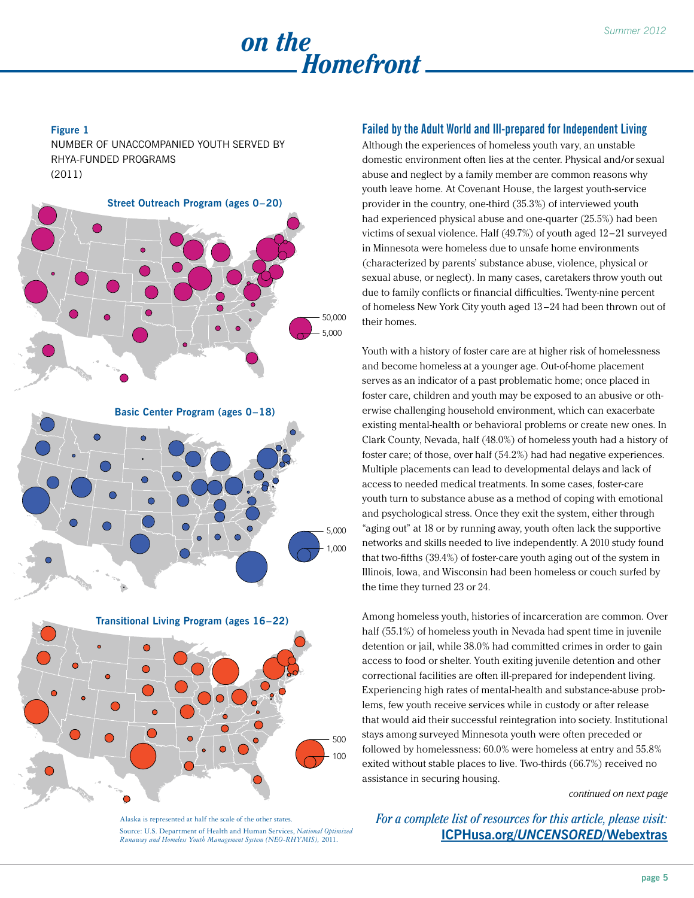

#### **Figure 1**

Number of Unaccompanied Youth Served by RHYA-funded Programs (2011)



#### **Failed by the Adult World and Ill-prepared for Independent Living**

Although the experiences of homeless youth vary, an unstable domestic environment often lies at the center. Physical and/or sexual abuse and neglect by a family member are common reasons why youth leave home. At Covenant House, the largest youth-service provider in the country, one-third (35.3%) of interviewed youth had experienced physical abuse and one-quarter (25.5%) had been victims of sexual violence. Half (49.7%) of youth aged 12–21 surveyed in Minnesota were homeless due to unsafe home environments (characterized by parents' substance abuse, violence, physical or sexual abuse, or neglect). In many cases, caretakers throw youth out due to family conflicts or financial difficulties. Twenty-nine percent of homeless New York City youth aged 13 –24 had been thrown out of their homes.

Youth with a history of foster care are at higher risk of homelessness and become homeless at a younger age. Out-of-home placement serves as an indicator of a past problematic home; once placed in foster care, children and youth may be exposed to an abusive or otherwise challenging household environment, which can exacerbate existing mental-health or behavioral problems or create new ones. In Clark County, Nevada, half (48.0%) of homeless youth had a history of foster care; of those, over half (54.2%) had had negative experiences. Multiple placements can lead to developmental delays and lack of access to needed medical treatments. In some cases, foster-care youth turn to substance abuse as a method of coping with emotional and psychological stress. Once they exit the system, either through "aging out" at 18 or by running away, youth often lack the supportive networks and skills needed to live independently. A 2010 study found that two-fifths (39.4%) of foster-care youth aging out of the system in Illinois, Iowa, and Wisconsin had been homeless or couch surfed by the time they turned 23 or 24.

Among homeless youth, histories of incarceration are common. Over half (55.1%) of homeless youth in Nevada had spent time in juvenile detention or jail, while 38.0% had committed crimes in order to gain access to food or shelter. Youth exiting juvenile detention and other correctional facilities are often ill-prepared for independent living. Experiencing high rates of mental-health and substance-abuse problems, few youth receive services while in custody or after release that would aid their successful reintegration into society. Institutional stays among surveyed Minnesota youth were often preceded or followed by homelessness: 60.0% were homeless at entry and 55.8% exited without stable places to live. Two-thirds (66.7%) received no assistance in securing housing.

*continued on next page*

Alaska is represented at half the scale of the other states. Source: U.S. Department of Health and Human Services, *National Optimized Runaway and Homeless Youth Management System (NEO-RHYMIS),* 2011.

*For a complete list of resources for this article, please visit:*  **ICPHusa.org/***[UNCENSORED](ICPHusa.org/UNCENSORED/Web)***/Webextras**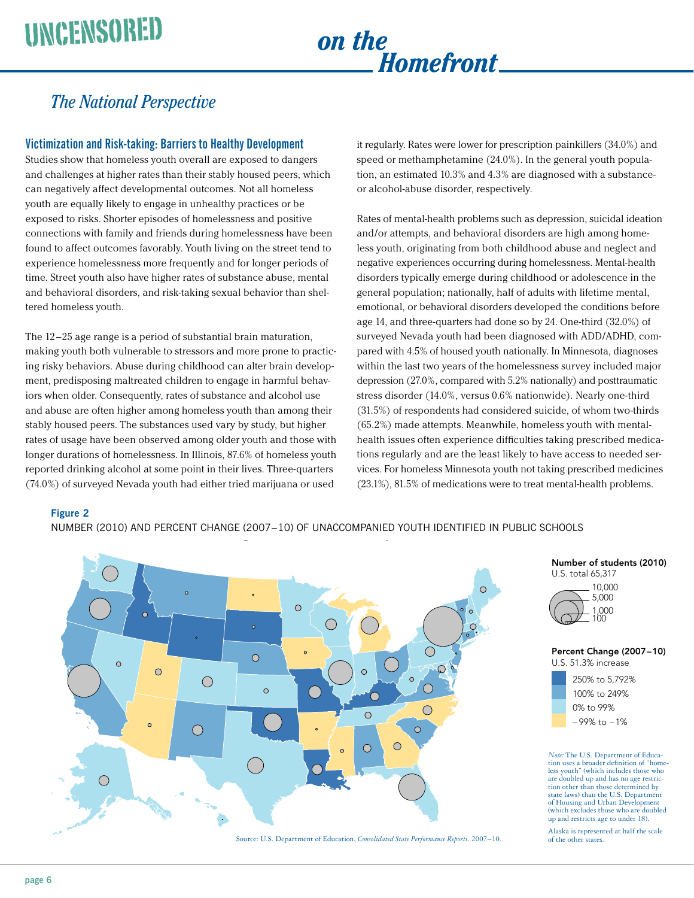## *on the Homefront*

## *The National Perspective*

#### **Victimization and Risk-taking: Barriers to Healthy Development**

Studies show that homeless youth overall are exposed to dangers and challenges at higher rates than their stably housed peers, which can negatively affect developmental outcomes. Not all homeless youth are equally likely to engage in unhealthy practices or be exposed to risks. Shorter episodes of homelessness and positive connections with family and friends during homelessness have been found to affect outcomes favorably. Youth living on the street tend to experience homelessness more frequently and for longer periods of time. Street youth also have higher rates of substance abuse, mental and behavioral disorders, and risk-taking sexual behavior than sheltered homeless youth.

The 12–25 age range is a period of substantial brain maturation, making youth both vulnerable to stressors and more prone to practicing risky behaviors. Abuse during childhood can alter brain development, predisposing maltreated children to engage in harmful behaviors when older. Consequently, rates of substance and alcohol use and abuse are often higher among homeless youth than among their stably housed peers. The substances used vary by study, but higher rates of usage have been observed among older youth and those with longer durations of homelessness. In Illinois, 87.6% of homeless youth reported drinking alcohol at some point in their lives. Three-quarters (74.0%) of surveyed Nevada youth had either tried marijuana or used

it regularly. Rates were lower for prescription painkillers (34.0%) and speed or methamphetamine (24.0%). In the general youth population, an estimated 10.3% and 4.3% are diagnosed with a substanceor alcohol-abuse disorder, respectively.

Rates of mental-health problems such as depression, suicidal ideation and/or attempts, and behavioral disorders are high among homeless youth, originating from both childhood abuse and neglect and negative experiences occurring during homelessness. Mental-health disorders typically emerge during childhood or adolescence in the general population; nationally, half of adults with lifetime mental, emotional, or behavioral disorders developed the conditions before age 14, and three-quarters had done so by 24. One-third (32.0%) of surveyed Nevada youth had been diagnosed with ADD/ADHD, compared with 4.5% of housed youth nationally. In Minnesota, diagnoses within the last two years of the homelessness survey included major depression (27.0%, compared with 5.2% nationally) and posttraumatic stress disorder (14.0%, versus 0.6% nationwide). Nearly one-third (31.5%) of respondents had considered suicide, of whom two-thirds (65.2%) made attempts. Meanwhile, homeless youth with mentalhealth issues often experience difficulties taking prescribed medications regularly and are the least likely to have access to needed services. For homeless Minnesota youth not taking prescribed medicines (23.1%), 81.5% of medications were to treat mental-health problems.

#### **Figure 2**

NUMBER (2010) AND PERCENT CHANGE (2007–10) OF UNACCOMPANIED YOUTH IDENTIFIED IN PUBLIC SCHOOLS







Percent Change (2007–10)

U.S. 51.3% increase



*Note:* The U.S. Department of Education uses a broader definition of "homeless youth" (which includes those who are doubled up and has no age restriction other than those determined by state laws) than the U.S. Department of Housing and Urban Development (which excludes those who are doubled up and restricts age to under 18).

Alaska is represented at half the scale